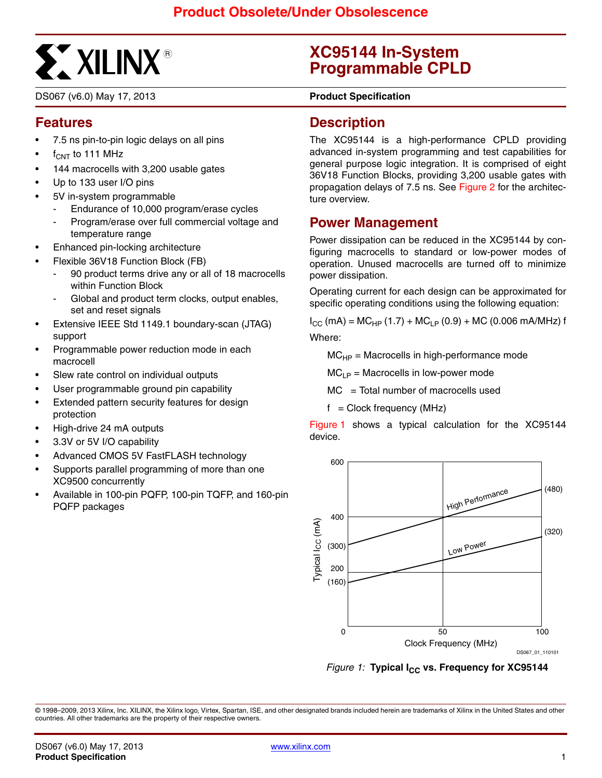

DS067 (v6.0) May 17, 2013 **0 5 Product Specification**

## **Features**

- 7.5 ns pin-to-pin logic delays on all pins
- $f_{CNT}$  to 111 MHz
- 144 macrocells with 3,200 usable gates
- Up to 133 user I/O pins
- 5V in-system programmable
	- Endurance of 10,000 program/erase cycles
	- Program/erase over full commercial voltage and temperature range
- Enhanced pin-locking architecture
- Flexible 36V18 Function Block (FB)
	- 90 product terms drive any or all of 18 macrocells within Function Block
	- Global and product term clocks, output enables, set and reset signals
- Extensive IEEE Std 1149.1 boundary-scan (JTAG) support
- Programmable power reduction mode in each macrocell
- Slew rate control on individual outputs
- User programmable ground pin capability
- Extended pattern security features for design protection
- High-drive 24 mA outputs
- 3.3V or 5V I/O capability
- Advanced CMOS 5V FastFLASH technology
- Supports parallel programming of more than one XC9500 concurrently
- Available in 100-pin PQFP, 100-pin TQFP, and 160-pin PQFP packages

# **XC95144 In-System Programmable CPLD**

### **Description**

The XC95144 is a high-performance CPLD providing advanced in-system programming and test capabilities for general purpose logic integration. It is comprised of eight 36V18 Function Blocks, providing 3,200 usable gates with propagation delays of 7.5 ns. See [Figure 2](#page-1-0) for the architecture overview.

### **Power Management**

Power dissipation can be reduced in the XC95144 by configuring macrocells to standard or low-power modes of operation. Unused macrocells are turned off to minimize power dissipation.

Operating current for each design can be approximated for specific operating conditions using the following equation:

 $I_{CC}$  (mA) = MC<sub>HP</sub> (1.7) + MC<sub>LP</sub> (0.9) + MC (0.006 mA/MHz) f Where:

 $MC<sub>HP</sub>$  = Macrocells in high-performance mode

 $MC_{LP}$  = Macrocells in low-power mode

 $MC = Total number of macrocells used$ 

 $f =$  Clock frequency (MHz)

[Figure 1](#page-0-0) shows a typical calculation for the XC95144 device.



<span id="page-0-0"></span>*Figure 1:* Typical I<sub>CC</sub> vs. Frequency for XC95144

© 1998–2009, 2013 Xilinx, Inc. XILINX, the Xilinx logo, Virtex, Spartan, ISE, and other designated brands included herein are trademarks of Xilinx in the United States and other countries. All other trademarks are the property of their respective owners.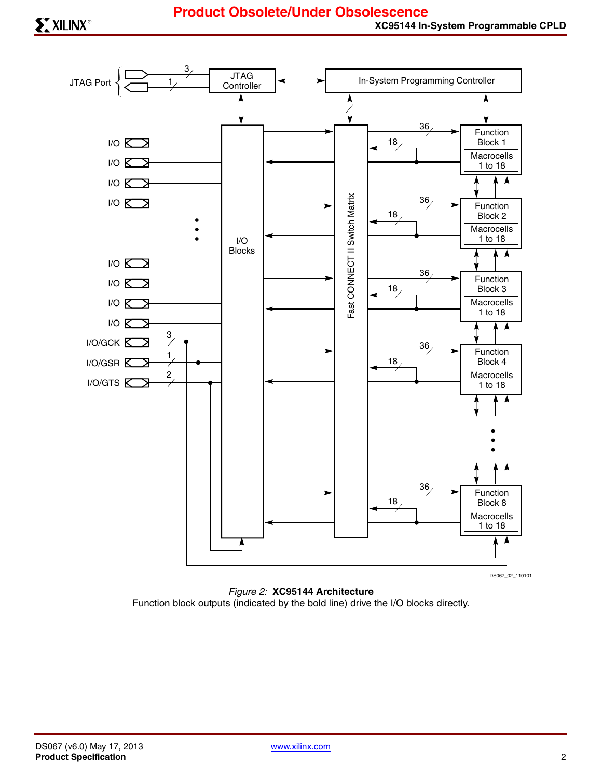

<span id="page-1-0"></span>*Figure 2:* **XC95144 Architecture** Function block outputs (indicated by the bold line) drive the I/O blocks directly.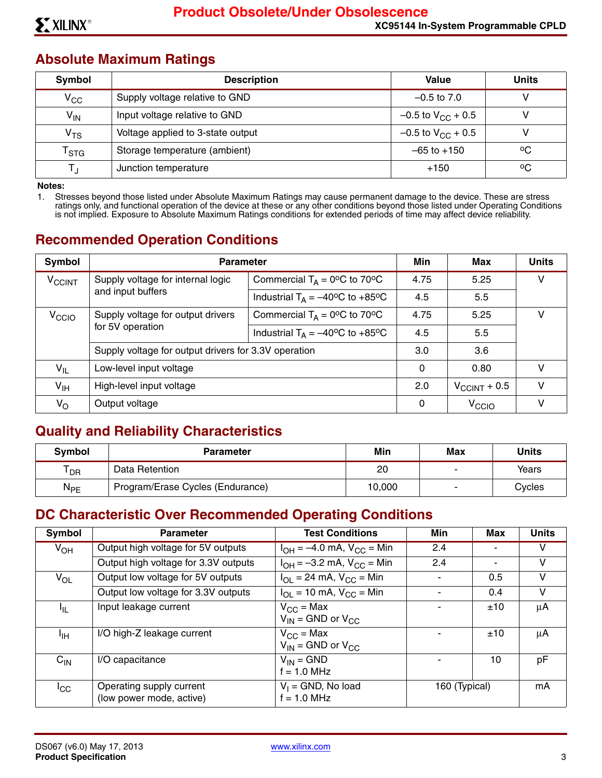### **Absolute Maximum Ratings**

| Symbol                      | <b>Description</b>                | Value                    | <b>Units</b> |
|-----------------------------|-----------------------------------|--------------------------|--------------|
| $V_{\rm CC}$                | Supply voltage relative to GND    | $-0.5$ to $7.0$          |              |
| $V_{IN}$                    | Input voltage relative to GND     | $-0.5$ to $V_{CC}$ + 0.5 |              |
| V <sub>TS</sub>             | Voltage applied to 3-state output | $-0.5$ to $V_{CC}$ + 0.5 |              |
| $\mathsf{T}_{\textsf{STG}}$ | Storage temperature (ambient)     | $-65$ to $+150$          | °€           |
| Т.                          | Junction temperature              | $+150$                   | °C           |

**Notes:** 

1. Stresses beyond those listed under Absolute Maximum Ratings may cause permanent damage to the device. These are stress ratings only, and functional operation of the device at these or any other conditions beyond those listed under Operating Conditions is not implied. Exposure to Absolute Maximum Ratings conditions for extended periods of time may affect device reliability.

# **Recommended Operation Conditions**

| Symbol                   | <b>Parameter</b>                                     |                                                          | Min                      | Max               | <b>Units</b> |
|--------------------------|------------------------------------------------------|----------------------------------------------------------|--------------------------|-------------------|--------------|
| <b>V<sub>CCINT</sub></b> | Supply voltage for internal logic                    | Commercial $T_A = 0$ <sup>o</sup> C to 70 <sup>o</sup> C | 4.75                     | 5.25              | v            |
| and input buffers        |                                                      | Industrial $T_A = -40^{\circ}C$ to +85°C                 | 4.5                      | 5.5               |              |
| V <sub>CCIO</sub>        | Supply voltage for output drivers                    | Commercial $T_A = 0$ <sup>o</sup> C to 70 <sup>o</sup> C | 4.75                     | 5.25              | v            |
| for 5V operation         |                                                      | Industrial $T_A = -40^{\circ}C$ to +85°C                 | 4.5                      | 5.5               |              |
|                          | Supply voltage for output drivers for 3.3V operation |                                                          | 3.0                      | 3.6               |              |
| $V_{IL}$                 | Low-level input voltage                              |                                                          | 0                        | 0.80              | v            |
| V <sub>IH</sub>          | High-level input voltage                             | 2.0                                                      | $V_{\text{CCINT}} + 0.5$ | $\mathsf{V}$      |              |
| V <sub>O</sub>           | Output voltage                                       |                                                          | 0                        | V <sub>CCIO</sub> | v            |

## **Quality and Reliability Characteristics**

| <b>Symbol</b>   | <b>Parameter</b>                 | Min    | Max | Units  |
|-----------------|----------------------------------|--------|-----|--------|
| <sup>I</sup> DR | Data Retention                   | 20     | -   | Years  |
| $N_{PE}$        | Program/Erase Cycles (Endurance) | 10.000 | -   | Cvcles |

## **DC Characteristic Over Recommended Operating Conditions**

| Symbol          | <b>Parameter</b>                                     | <b>Test Conditions</b>                                         | Min           | Max | <b>Units</b> |
|-----------------|------------------------------------------------------|----------------------------------------------------------------|---------------|-----|--------------|
| V <sub>OH</sub> | Output high voltage for 5V outputs                   | $I_{OH} = -4.0$ mA, $V_{CC} =$ Min                             | 2.4           |     | v            |
|                 | Output high voltage for 3.3V outputs                 | $I_{OH} = -3.2$ mA, $V_{CC} =$ Min                             | 2.4           |     | V            |
| $V_{OL}$        | Output low voltage for 5V outputs                    | $I_{OL}$ = 24 mA, $V_{CC}$ = Min                               |               | 0.5 | V            |
|                 | Output low voltage for 3.3V outputs                  | $I_{\text{OI}} = 10 \text{ mA}$ , $V_{\text{CC}} = \text{Min}$ |               | 0.4 | V            |
| ŀμ.             | Input leakage current                                | $V_{CC}$ = Max<br>$V_{IN}$ = GND or $V_{CC}$                   |               | ±10 | μA           |
| ЧH              | I/O high-Z leakage current                           | $V_{CC}$ = Max<br>$V_{IN}$ = GND or $V_{CC}$                   |               | ±10 | $\mu$ A      |
| $C_{IN}$        | I/O capacitance                                      | $V_{IN} = GND$<br>$f = 1.0$ MHz                                |               | 10  | рF           |
| $I_{\rm CC}$    | Operating supply current<br>(low power mode, active) | $V_1$ = GND, No load<br>$f = 1.0$ MHz                          | 160 (Typical) |     | mA           |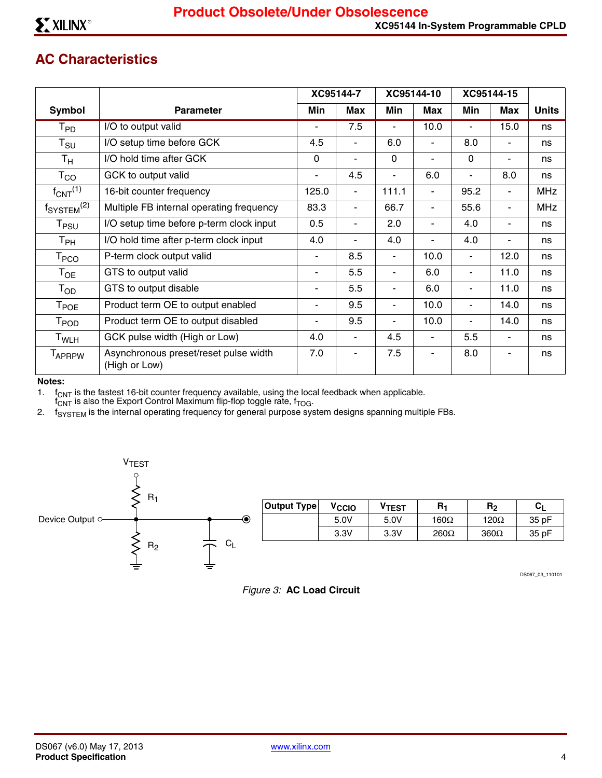## **AC Characteristics**

|                                    |                                                        |             | XC95144-7  |                          | XC95144-10     |                          | XC95144-15               |              |
|------------------------------------|--------------------------------------------------------|-------------|------------|--------------------------|----------------|--------------------------|--------------------------|--------------|
| <b>Symbol</b>                      | <b>Parameter</b>                                       | Min         | <b>Max</b> | Min                      | Max            | Min                      | Max                      | <b>Units</b> |
| $\mathsf{T}_{\mathsf{PD}}$         | I/O to output valid                                    | ٠           | 7.5        | $\blacksquare$           | 10.0           | $\overline{\phantom{a}}$ | 15.0                     | ns           |
| $T_{\text{SU}}$                    | I/O setup time before GCK                              | 4.5         | ۰          | 6.0                      | ٠              | 8.0                      | ۰.                       | ns           |
| $T_{\mathsf{H}}$                   | I/O hold time after GCK                                | $\mathbf 0$ | ٠          | 0                        | $\overline{a}$ | $\mathbf 0$              |                          | ns           |
| $\mathsf{T}_{\mathsf{CO}}$         | GCK to output valid                                    |             | 4.5        |                          | 6.0            | ۰                        | 8.0                      | ns           |
| $f_{CNT}$ <sup>(1)</sup>           | 16-bit counter frequency                               | 125.0       | ۰          | 111.1                    | ٠              | 95.2                     | -                        | <b>MHz</b>   |
| f <sub>SYSTEM</sub> <sup>(2)</sup> | Multiple FB internal operating frequency               | 83.3        | ٠          | 66.7                     | ٠              | 55.6                     | $\overline{\phantom{0}}$ | <b>MHz</b>   |
| $\mathsf{T}_{\mathsf{PSU}}$        | I/O setup time before p-term clock input               | 0.5         | ٠          | 2.0                      | ٠              | 4.0                      | -                        | ns           |
| $T_{PH}$                           | I/O hold time after p-term clock input                 | 4.0         | ٠          | 4.0                      | Ĭ.             | 4.0                      |                          | ns           |
| $\mathsf{T}_{\mathsf{PCO}}$        | P-term clock output valid                              |             | 8.5        | $\blacksquare$           | 10.0           | $\blacksquare$           | 12.0                     | ns           |
| $T_{OE}$                           | GTS to output valid                                    | ٠           | 5.5        | $\blacksquare$           | 6.0            | $\blacksquare$           | 11.0                     | ns           |
| $T_{OD}$                           | GTS to output disable                                  | ۰           | 5.5        | $\blacksquare$           | 6.0            | $\blacksquare$           | 11.0                     | ns           |
| $\mathsf{T}_{\mathsf{POE}}$        | Product term OE to output enabled                      |             | 9.5        | $\blacksquare$           | 10.0           | $\blacksquare$           | 14.0                     | ns           |
| T <sub>POD</sub>                   | Product term OE to output disabled                     | ۰           | 9.5        | $\overline{\phantom{a}}$ | 10.0           | $\blacksquare$           | 14.0                     | ns           |
| T <sub>WLH</sub>                   | GCK pulse width (High or Low)                          | 4.0         | ٠          | 4.5                      | ۰              | 5.5                      |                          | ns           |
| <b>TAPRPW</b>                      | Asynchronous preset/reset pulse width<br>(High or Low) | 7.0         | ۰          | 7.5                      |                | 8.0                      |                          | ns           |

#### **Notes:**

1.  $f_{CNT}$  is the fastest 16-bit counter frequency available, using the local feedback when applicable.

 $f_{\text{CNT}}^-$  is also the Export Control Maximum flip-flop toggle rate,  $f_{\text{TOG}}$ .

2. f<sub>SYSTEM</sub> is the internal operating frequency for general purpose system designs spanning multiple FBs.



DS067\_03\_110101

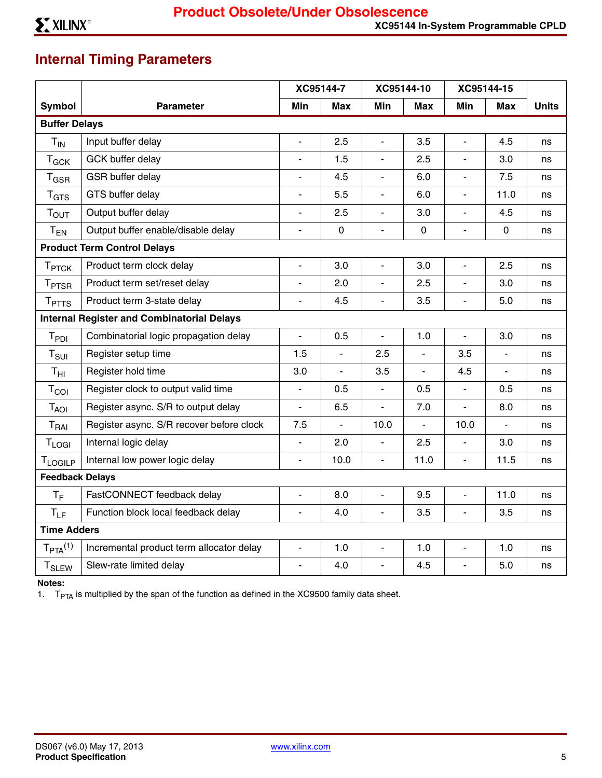# **Internal Timing Parameters**

|                         |                                                   |                          | XC95144-7      |                          | XC95144-10     | XC95144-15               |                          |              |  |
|-------------------------|---------------------------------------------------|--------------------------|----------------|--------------------------|----------------|--------------------------|--------------------------|--------------|--|
| <b>Symbol</b>           | <b>Parameter</b>                                  | Min                      | <b>Max</b>     | Min                      | <b>Max</b>     | Min                      | <b>Max</b>               | <b>Units</b> |  |
| <b>Buffer Delays</b>    |                                                   |                          |                |                          |                |                          |                          |              |  |
| $T_{IN}$                | Input buffer delay                                | $\frac{1}{2}$            | 2.5            | $\blacksquare$           | 3.5            | $\blacksquare$           | 4.5                      | ns           |  |
| $T_{GCK}$               | <b>GCK buffer delay</b>                           | L,                       | 1.5            | ÷,                       | 2.5            | L,                       | 3.0                      | ns           |  |
| $T_{\tiny{\text{GSR}}}$ | GSR buffer delay                                  | $\overline{a}$           | 4.5            | $\overline{\phantom{a}}$ | 6.0            | $\overline{\phantom{0}}$ | 7.5                      | ns           |  |
| T <sub>GTS</sub>        | GTS buffer delay                                  | $\overline{\phantom{a}}$ | 5.5            | $\blacksquare$           | 6.0            | $\blacksquare$           | 11.0                     | ns           |  |
| T <sub>OUT</sub>        | Output buffer delay                               | L.                       | 2.5            | $\blacksquare$           | 3.0            | $\overline{\phantom{a}}$ | 4.5                      | ns           |  |
| $T_{EN}$                | Output buffer enable/disable delay                | $\frac{1}{2}$            | $\pmb{0}$      | $\blacksquare$           | $\mathbf 0$    | $\overline{\phantom{a}}$ | $\pmb{0}$                | ns           |  |
|                         | <b>Product Term Control Delays</b>                |                          |                |                          |                |                          |                          |              |  |
| T <sub>PTCK</sub>       | Product term clock delay                          | ÷,                       | 3.0            | ÷,                       | 3.0            | ÷,                       | 2.5                      | ns           |  |
| <b>TPTSR</b>            | Product term set/reset delay                      | L,                       | 2.0            | $\overline{\phantom{a}}$ | 2.5            | ÷,                       | 3.0                      | ns           |  |
| <b>TPTTS</b>            | Product term 3-state delay                        | $\overline{a}$           | 4.5            | $\overline{\phantom{a}}$ | 3.5            | $\overline{\phantom{a}}$ | 5.0                      | ns           |  |
|                         | <b>Internal Register and Combinatorial Delays</b> |                          |                |                          |                |                          |                          |              |  |
| T <sub>PDI</sub>        | Combinatorial logic propagation delay             | $\overline{a}$           | 0.5            | $\overline{a}$           | 1.0            | $\overline{\phantom{a}}$ | 3.0                      | ns           |  |
| T <sub>SUI</sub>        | Register setup time                               | 1.5                      | $\frac{1}{2}$  | 2.5                      | $\overline{a}$ | 3.5                      | $\overline{\phantom{a}}$ | ns           |  |
| $T_{\text{HI}}$         | Register hold time                                | 3.0                      | $\blacksquare$ | 3.5                      | $\blacksquare$ | 4.5                      | $\blacksquare$           | ns           |  |
| T <sub>col</sub>        | Register clock to output valid time               | $\overline{a}$           | 0.5            | $\overline{\phantom{a}}$ | 0.5            | $\overline{\phantom{a}}$ | 0.5                      | ns           |  |
| T <sub>AOI</sub>        | Register async. S/R to output delay               | $\overline{\phantom{a}}$ | 6.5            | $\overline{a}$           | 7.0            | $\overline{a}$           | 8.0                      | ns           |  |
| T <sub>RAI</sub>        | Register async. S/R recover before clock          | 7.5                      | $\blacksquare$ | 10.0                     | $\overline{a}$ | 10.0                     |                          | ns           |  |
| <b>TLOGI</b>            | Internal logic delay                              | $\overline{a}$           | 2.0            | $\overline{\phantom{a}}$ | 2.5            | ÷,                       | 3.0                      | ns           |  |
| TLOGILP                 | Internal low power logic delay                    | $\overline{\phantom{a}}$ | 10.0           | $\frac{1}{2}$            | 11.0           | $\blacksquare$           | 11.5                     | ns           |  |
| <b>Feedback Delays</b>  |                                                   |                          |                |                          |                |                          |                          |              |  |
| $T_F$                   | FastCONNECT feedback delay                        | $\overline{\phantom{a}}$ | 8.0            | $\overline{a}$           | 9.5            | $\overline{a}$           | 11.0                     | ns           |  |
| $T_{LF}$                | Function block local feedback delay               | $\overline{a}$           | 4.0            | $\overline{\phantom{a}}$ | 3.5            | $\overline{\phantom{a}}$ | 3.5                      | ns           |  |
| <b>Time Adders</b>      |                                                   |                          |                |                          |                |                          |                          |              |  |
| $T_{PTA}^{(1)}$         | Incremental product term allocator delay          | $\overline{\phantom{a}}$ | 1.0            | $\overline{a}$           | 1.0            | $\overline{\phantom{a}}$ | 1.0                      | ns           |  |
| $T_{SLEW}$              | Slew-rate limited delay                           | $\overline{a}$           | 4.0            | ÷,                       | 4.5            | $\overline{a}$           | 5.0                      | ns           |  |

**Notes:** 

1.  $T_{PTA}$  is multiplied by the span of the function as defined in the XC9500 family data sheet.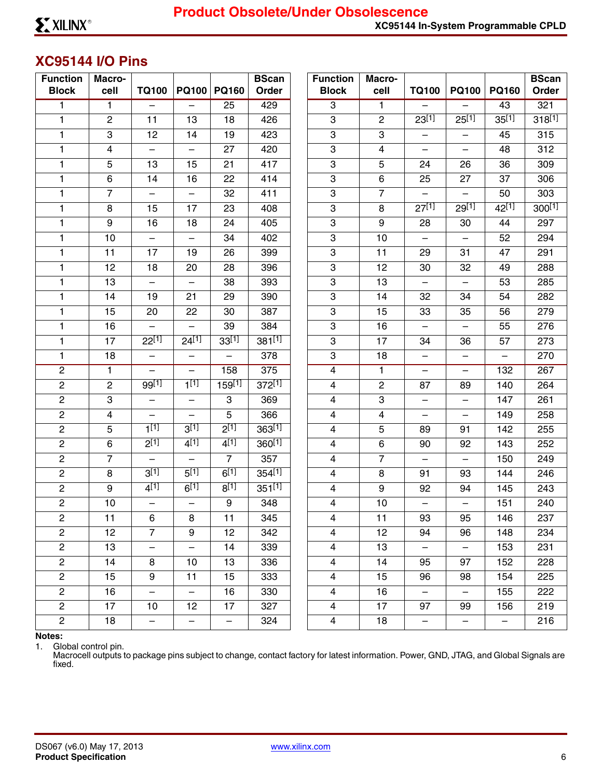## <span id="page-5-0"></span>**XC95144 I/O Pins**

| <b>Function</b><br><b>Block</b> | Macro-<br>cell | <b>TQ100</b>             | <b>PQ100</b>             | <b>PQ160</b>             | <b>BScan</b><br>Order | <b>Function</b><br><b>Block</b> | Macro-<br>cell | <b>TQ100</b>             | <b>PQ100</b>             | <b>PQ160</b>             | <b>BScan</b><br>Order |
|---------------------------------|----------------|--------------------------|--------------------------|--------------------------|-----------------------|---------------------------------|----------------|--------------------------|--------------------------|--------------------------|-----------------------|
| 1                               | $\mathbf{1}$   | $\overline{\phantom{0}}$ | $\overline{\phantom{0}}$ | 25                       | 429                   | 3                               | $\mathbf{1}$   |                          |                          | 43                       | 321                   |
| 1                               | $\mathbf{2}$   | 11                       | 13                       | 18                       | 426                   | 3                               | $\overline{c}$ | $23^{[1]}$               | $25^{[1]}$               | $35^{[1]}$               | 318[1]                |
| 1                               | 3              | 12                       | 14                       | 19                       | 423                   | 3                               | 3              | $\overline{\phantom{0}}$ | $\overline{\phantom{0}}$ | 45                       | 315                   |
| 1                               | $\overline{4}$ | $\overline{\phantom{0}}$ | —                        | 27                       | 420                   | 3                               | 4              | $\overline{\phantom{0}}$ |                          | 48                       | 312                   |
| 1                               | 5              | 13                       | 15                       | 21                       | 417                   | 3                               | 5              | 24                       | 26                       | 36                       | 309                   |
| $\mathbf{1}$                    | 6              | 14                       | 16                       | 22                       | 414                   | 3                               | 6              | 25                       | 27                       | 37                       | 306                   |
| 1                               | $\overline{7}$ | $\overline{\phantom{0}}$ | —                        | 32                       | 411                   | 3                               | $\overline{7}$ | $\overline{\phantom{0}}$ | $\overline{\phantom{0}}$ | 50                       | 303                   |
| 1                               | 8              | 15                       | 17                       | 23                       | 408                   | 3                               | 8              | $27^{[1]}$               | $29^{[1]}$               | $42^{[1]}$               | $300^{[1]}$           |
| 1                               | 9              | 16                       | 18                       | 24                       | 405                   | 3                               | 9              | 28                       | 30                       | 44                       | 297                   |
| $\mathbf{1}$                    | 10             | $\qquad \qquad -$        | $\qquad \qquad -$        | 34                       | 402                   | 3                               | 10             | $\overline{\phantom{0}}$ | $\qquad \qquad -$        | 52                       | 294                   |
| 1                               | 11             | 17                       | 19                       | 26                       | 399                   | 3                               | 11             | 29                       | 31                       | 47                       | 291                   |
| 1                               | 12             | 18                       | 20                       | 28                       | 396                   | 3                               | 12             | 30                       | 32                       | 49                       | 288                   |
| 1                               | 13             |                          | $\overline{\phantom{0}}$ | 38                       | 393                   | 3                               | 13             |                          |                          | 53                       | 285                   |
| 1                               | 14             | 19                       | 21                       | 29                       | 390                   | 3                               | 14             | 32                       | 34                       | 54                       | 282                   |
| 1                               | 15             | 20                       | 22                       | 30                       | 387                   | 3                               | 15             | 33                       | 35                       | 56                       | 279                   |
| 1                               | 16             |                          | —                        | 39                       | 384                   | 3                               | 16             | $\qquad \qquad -$        | $\qquad \qquad -$        | 55                       | 276                   |
| $\mathbf{1}$                    | 17             | $22^{[1]}$               | $24^{[1]}$               | $33^{[1]}$               | $381^{[1]}$           | 3                               | 17             | 34                       | 36                       | 57                       | 273                   |
| $\mathbf{1}$                    | 18             | $\overline{\phantom{m}}$ | $\qquad \qquad -$        | $\overline{\phantom{0}}$ | 378                   | 3                               | 18             | $\qquad \qquad -$        | $\qquad \qquad -$        | $\overline{\phantom{0}}$ | 270                   |
| $\overline{2}$                  | $\mathbf{1}$   | $\overline{\phantom{0}}$ | —                        | 158                      | 375                   | 4                               | $\mathbf{1}$   | $\overline{\phantom{0}}$ | $\qquad \qquad -$        | 132                      | 267                   |
| $\overline{c}$                  | $\mathbf{2}$   | $99^{[1]}$               | $1^{[1]}$                | $159^{[1]}$              | $372^{[1]}$           | $\overline{\mathbf{4}}$         | $\overline{c}$ | 87                       | 89                       | 140                      | 264                   |
| $\overline{c}$                  | 3              | $\overline{\phantom{0}}$ | —                        | 3                        | 369                   | $\overline{\mathbf{4}}$         | 3              | $\overline{\phantom{0}}$ | $\overline{\phantom{0}}$ | 147                      | 261                   |
| $\overline{c}$                  | 4              |                          | —                        | 5                        | 366                   | $\overline{\mathbf{4}}$         | 4              | $\overline{\phantom{0}}$ | $\overline{\phantom{0}}$ | 149                      | 258                   |
| $\overline{c}$                  | 5              | $1^{[1]}$                | 3 <sup>[1]</sup>         | $2^{[1]}$                | $363^{[1]}$           | 4                               | 5              | 89                       | 91                       | 142                      | 255                   |
| $\overline{c}$                  | 6              | $2^{[1]}$                | $4^{[1]}$                | $4^{[1]}$                | 360[1]                | $\overline{\mathbf{4}}$         | 6              | 90                       | 92                       | 143                      | 252                   |
| $\overline{c}$                  | $\overline{7}$ | $\overline{\phantom{0}}$ | $\overline{\phantom{0}}$ | $\overline{7}$           | 357                   | $\overline{\mathbf{4}}$         | $\overline{7}$ | $\overline{\phantom{0}}$ | $\overline{\phantom{0}}$ | 150                      | 249                   |
| $\overline{c}$                  | 8              | $3^{[1]}$                | $5^{[1]}$                | $6^{[1]}$                | $354^{[1]}$           | $\overline{4}$                  | 8              | 91                       | 93                       | 144                      | 246                   |
| $\overline{2}$                  | 9              | $4^{[1]}$                | $6^{[1]}$                | $8^{[1]}$                | $351^{[1]}$           | 4                               | 9              | 92                       | 94                       | 145                      | 243                   |
| $\overline{2}$                  | 10             | $\overline{\phantom{0}}$ | -                        | 9                        | 348                   | $\overline{4}$                  | 10             | $\qquad \qquad -$        | $\overline{\phantom{0}}$ | 151                      | 240                   |
| $\mathbf{2}$                    | 11             | 6                        | 8                        | 11                       | 345                   | $\overline{4}$                  | 11             | 93                       | 95                       | 146                      | 237                   |
| $\overline{c}$                  | 12             | $\overline{7}$           | 9                        | 12                       | 342                   | 4                               | 12             | 94                       | 96                       | 148                      | 234                   |
| $\overline{c}$                  | 13             | $\overline{\phantom{0}}$ | $\overline{\phantom{0}}$ | 14                       | 339                   | 4                               | 13             | $\overline{\phantom{m}}$ | $\qquad \qquad -$        | 153                      | 231                   |
| $\overline{c}$                  | 14             | 8                        | 10                       | 13                       | 336                   | $\overline{\mathbf{4}}$         | 14             | 95                       | 97                       | 152                      | 228                   |
| $\overline{c}$                  | 15             | 9                        | 11                       | 15                       | 333                   | 4                               | 15             | 96                       | 98                       | 154                      | 225                   |
| $\overline{c}$                  | 16             | $\overline{\phantom{0}}$ | $\overline{\phantom{0}}$ | 16                       | 330                   | $\overline{\mathbf{4}}$         | 16             | $\qquad \qquad -$        | $\overline{\phantom{m}}$ | 155                      | 222                   |
| $\overline{c}$                  | 17             | 10                       | 12                       | 17                       | 327                   | $\overline{\mathbf{4}}$         | 17             | 97                       | 99                       | 156                      | 219                   |
| $\overline{c}$                  | 18             | $\overline{\phantom{0}}$ | $\qquad \qquad -$        | $\qquad \qquad -$        | 324                   | $\overline{\mathbf{4}}$         | 18             | $\qquad \qquad -$        | $\qquad \qquad -$        | $\overline{\phantom{0}}$ | 216                   |

**Notes:** 

1. Global control pin.

Macrocell outputs to package pins subject to change, contact factory for latest information. Power, GND, JTAG, and Global Signals are fixed.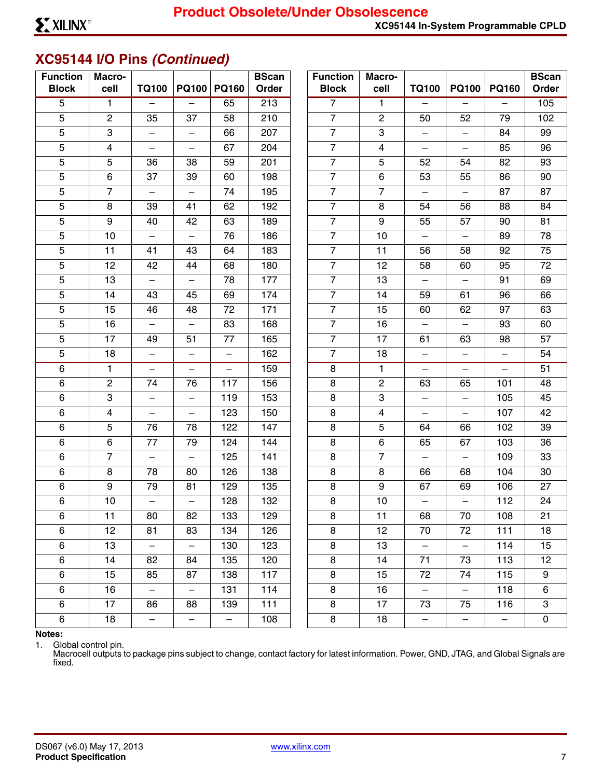# **XC95144 I/O Pins** *(Continued)*

| <b>Function</b><br><b>Block</b> | Macro-<br>cell          | <b>TQ100</b>             |                          | PQ100 PQ160              | <b>BScan</b><br>Order | <b>Function</b><br><b>Block</b> | Macro-<br>cell | <b>TQ100</b>             | <b>PQ100</b>             | <b>PQ160</b>             | <b>BScan</b><br>Order |
|---------------------------------|-------------------------|--------------------------|--------------------------|--------------------------|-----------------------|---------------------------------|----------------|--------------------------|--------------------------|--------------------------|-----------------------|
| $\overline{5}$                  | $\mathbf{1}$            | $\overline{\phantom{0}}$ |                          | 65                       | 213                   | $\overline{7}$                  | $\mathbf{1}$   |                          |                          |                          | 105                   |
| 5                               | $\overline{c}$          | 35                       | 37                       | 58                       | 210                   | $\overline{7}$                  | $\overline{c}$ | 50                       | 52                       | 79                       | 102                   |
| 5                               | 3                       | $\overline{\phantom{m}}$ | $\qquad \qquad -$        | 66                       | 207                   | $\overline{7}$                  | 3              | $\qquad \qquad -$        | $\overline{\phantom{0}}$ | 84                       | 99                    |
| $\mathbf 5$                     | $\overline{\mathbf{4}}$ |                          |                          | 67                       | 204                   | $\overline{7}$                  | $\overline{4}$ |                          |                          | 85                       | 96                    |
| 5                               | 5                       | 36                       | 38                       | 59                       | 201                   | $\overline{7}$                  | 5              | 52                       | 54                       | 82                       | 93                    |
| $\mathbf 5$                     | 6                       | 37                       | 39                       | 60                       | 198                   | $\overline{7}$                  | 6              | 53                       | 55                       | 86                       | 90                    |
| 5                               | $\overline{7}$          | $\overline{\phantom{0}}$ | $\overline{\phantom{0}}$ | 74                       | 195                   | $\overline{7}$                  | $\overline{7}$ | $\qquad \qquad -$        | $\qquad \qquad -$        | 87                       | 87                    |
| $\mathbf 5$                     | 8                       | 39                       | 41                       | 62                       | 192                   | $\overline{7}$                  | 8              | 54                       | 56                       | 88                       | 84                    |
| 5                               | 9                       | 40                       | 42                       | 63                       | 189                   | $\overline{7}$                  | 9              | 55                       | 57                       | 90                       | 81                    |
| $\mathbf 5$                     | 10                      |                          | $\overline{\phantom{0}}$ | 76                       | 186                   | $\overline{7}$                  | 10             |                          |                          | 89                       | 78                    |
| $\mathbf 5$                     | 11                      | 41                       | 43                       | 64                       | 183                   | $\overline{7}$                  | 11             | 56                       | 58                       | 92                       | 75                    |
| $\mathbf 5$                     | 12                      | 42                       | 44                       | 68                       | 180                   | $\overline{7}$                  | 12             | 58                       | 60                       | 95                       | 72                    |
| $\mathbf 5$                     | 13                      | $\overline{\phantom{0}}$ | $\overline{\phantom{0}}$ | 78                       | 177                   | $\overline{7}$                  | 13             | —                        | $\qquad \qquad -$        | 91                       | 69                    |
| $\mathbf 5$                     | 14                      | 43                       | 45                       | 69                       | 174                   | $\overline{7}$                  | 14             | 59                       | 61                       | 96                       | 66                    |
| 5                               | 15                      | 46                       | 48                       | 72                       | 171                   | $\overline{7}$                  | 15             | 60                       | 62                       | 97                       | 63                    |
| $\mathbf 5$                     | 16                      |                          |                          | 83                       | 168                   | $\overline{7}$                  | 16             |                          |                          | 93                       | 60                    |
| $\mathbf 5$                     | 17                      | 49                       | 51                       | 77                       | 165                   | $\overline{7}$                  | 17             | 61                       | 63                       | 98                       | 57                    |
| 5                               | 18                      | $\qquad \qquad -$        | $\overline{\phantom{0}}$ | $\qquad \qquad -$        | 162                   | $\overline{7}$                  | 18             | $\qquad \qquad -$        |                          | $\qquad \qquad -$        | 54                    |
| $\,6\,$                         | $\mathbf{1}$            | $\overline{\phantom{m}}$ | $\overline{\phantom{0}}$ | $\qquad \qquad -$        | 159                   | 8                               | $\mathbf{1}$   | $\qquad \qquad -$        | $\qquad \qquad -$        | $\qquad \qquad -$        | 51                    |
| $\,6\,$                         | $\mathbf{2}$            | 74                       | 76                       | 117                      | 156                   | $\bf 8$                         | $\overline{2}$ | 63                       | 65                       | 101                      | 48                    |
| 6                               | 3                       | $\qquad \qquad -$        | $\overline{\phantom{0}}$ | 119                      | 153                   | $\bf 8$                         | 3              | $\qquad \qquad -$        | $\overline{\phantom{0}}$ | 105                      | 45                    |
| $\,6\,$                         | $\overline{\mathbf{4}}$ |                          |                          | 123                      | 150                   | $\bf 8$                         | $\overline{4}$ |                          |                          | 107                      | 42                    |
| 6                               | $\overline{5}$          | 76                       | 78                       | 122                      | 147                   | $\bf 8$                         | 5              | 64                       | 66                       | 102                      | 39                    |
| $\,6\,$                         | 6                       | 77                       | 79                       | 124                      | 144                   | $\bf8$                          | 6              | 65                       | 67                       | 103                      | 36                    |
| $\,6\,$                         | $\overline{7}$          | $\qquad \qquad -$        | —                        | 125                      | 141                   | 8                               | $\overline{7}$ | —                        |                          | 109                      | 33                    |
| $\,6\,$                         | 8                       | 78                       | 80                       | 126                      | 138                   | $\bf 8$                         | 8              | 66                       | 68                       | 104                      | 30                    |
| $\,6\,$                         | 9                       | 79                       | 81                       | 129                      | 135                   | $\bf 8$                         | 9              | 67                       | 69                       | 106                      | 27                    |
| 6                               | 10                      |                          |                          | 128                      | 132                   | $\bf8$                          | 10             |                          |                          | 112                      | 24                    |
| 6                               | 11                      | 80                       | 82                       | 133                      | 129                   | 8                               | 11             | 68                       | 70                       | 108                      | 21                    |
| $\,6\,$                         | 12                      | 81                       | 83                       | 134                      | 126                   | $\bf 8$                         | 12             | 70                       | 72                       | 111                      | 18                    |
| $\,6\,$                         | 13                      | $\overline{\phantom{m}}$ | $\overline{\phantom{0}}$ | 130                      | 123                   | $\bf 8$                         | 13             | $\qquad \qquad -$        | $\overline{\phantom{m}}$ | 114                      | 15                    |
| $\,6\,$                         | 14                      | 82                       | 84                       | 135                      | 120                   | $\bf 8$                         | 14             | 71                       | 73                       | 113                      | 12                    |
| $\,6\,$                         | 15                      | 85                       | 87                       | 138                      | 117                   | 8                               | 15             | 72                       | 74                       | 115                      | 9                     |
| $\,6\,$                         | 16                      |                          |                          | 131                      | 114                   | $\bf 8$                         | 16             | $\overline{\phantom{0}}$ | $\overline{\phantom{0}}$ | 118                      | 6                     |
| $\,6\,$                         | 17                      | 86                       | 88                       | 139                      | 111                   | 8                               | 17             | 73                       | 75                       | 116                      | 3                     |
| $\,6\,$                         | 18                      | $\qquad \qquad -$        | $\qquad \qquad -$        | $\overline{\phantom{0}}$ | 108                   | $\bf8$                          | 18             | $\overline{\phantom{0}}$ | $\qquad \qquad -$        | $\overline{\phantom{m}}$ | $\pmb{0}$             |

**Notes:** 

1. Global control pin.

Macrocell outputs to package pins subject to change, contact factory for latest information. Power, GND, JTAG, and Global Signals are fixed.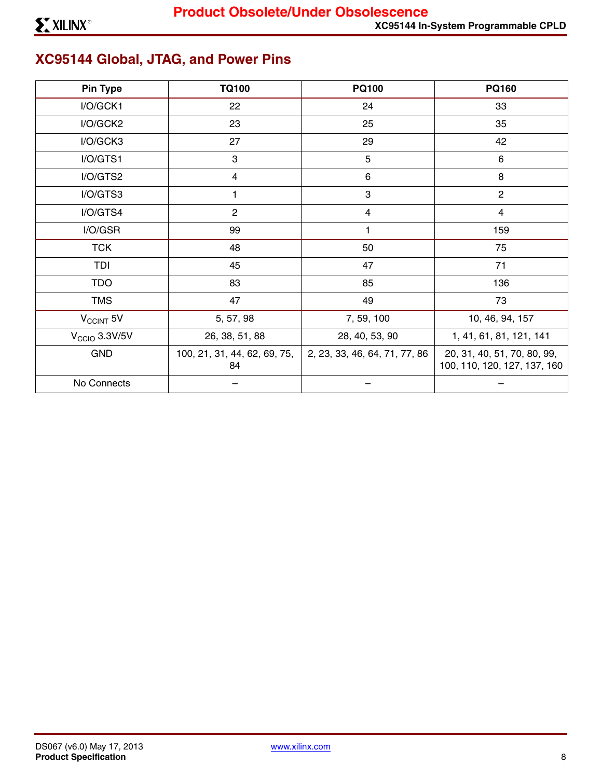# **XC95144 Global, JTAG, and Power Pins**

| <b>Pin Type</b>       | <b>TQ100</b>                       | <b>PQ100</b>                  | <b>PQ160</b>                                                |  |
|-----------------------|------------------------------------|-------------------------------|-------------------------------------------------------------|--|
| I/O/GCK1              | 22                                 | 24                            | 33                                                          |  |
| I/O/GCK2              | 23                                 | 25                            | 35                                                          |  |
| I/O/GCK3              | 27                                 | 29                            | 42                                                          |  |
| I/O/GTS1              | 3                                  | $\overline{5}$                | 6                                                           |  |
| I/O/GTS2              | 4                                  | $6\phantom{1}6$               | 8                                                           |  |
| I/O/GTS3              |                                    | $\sqrt{3}$                    | $\mathbf{2}$                                                |  |
| I/O/GTS4              | $\mathbf{2}$                       | $\overline{4}$                | 4                                                           |  |
| I/O/GSR               | 99                                 | 1                             | 159                                                         |  |
| <b>TCK</b>            | 48                                 | 50                            | 75                                                          |  |
| TDI                   | 45                                 | 47                            | 71                                                          |  |
| <b>TDO</b>            | 83                                 | 85                            | 136                                                         |  |
| <b>TMS</b>            | 47                                 | 49                            | 73                                                          |  |
| V <sub>CCINT</sub> 5V | 5, 57, 98                          | 7, 59, 100                    | 10, 46, 94, 157                                             |  |
| $VCCIO$ 3.3V/5V       | 26, 38, 51, 88                     | 28, 40, 53, 90                | 1, 41, 61, 81, 121, 141                                     |  |
| <b>GND</b>            | 100, 21, 31, 44, 62, 69, 75,<br>84 | 2, 23, 33, 46, 64, 71, 77, 86 | 20, 31, 40, 51, 70, 80, 99,<br>100, 110, 120, 127, 137, 160 |  |
| No Connects           |                                    |                               |                                                             |  |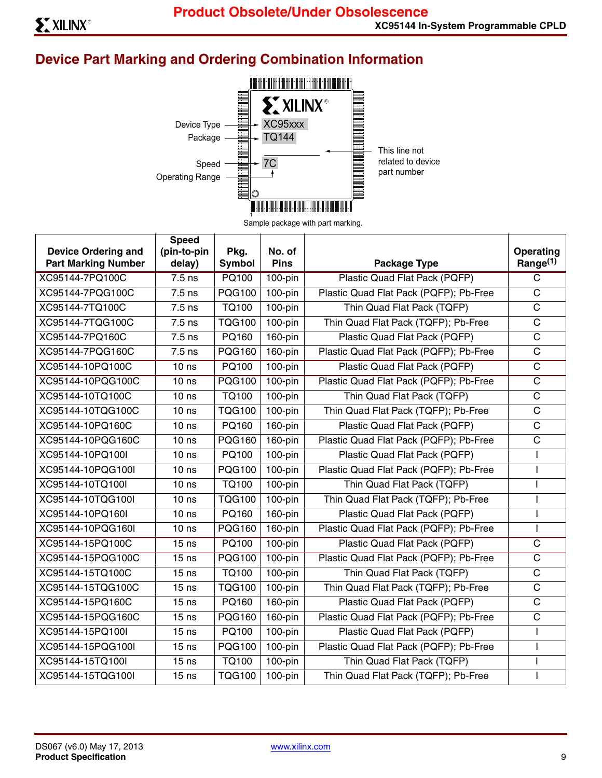# **Device Part Marking and Ordering Combination Information**



Sample package with part marking.

| <b>Device Ordering and</b><br><b>Part Marking Number</b> | <b>Speed</b><br>(pin-to-pin<br>delay) | Pkg.<br>Symbol | No. of<br><b>Pins</b> | <b>Package Type</b>                    | Operating<br>Range <sup>(1)</sup> |
|----------------------------------------------------------|---------------------------------------|----------------|-----------------------|----------------------------------------|-----------------------------------|
| XC95144-7PQ100C                                          | $7.5$ ns                              | <b>PQ100</b>   | $100$ -pin            | <b>Plastic Quad Flat Pack (PQFP)</b>   | $\overline{\text{c}}$             |
| XC95144-7PQG100C                                         | $7.5$ ns                              | PQG100         | $100$ -pin            | Plastic Quad Flat Pack (PQFP); Pb-Free | $\mathsf{C}$                      |
| XC95144-7TQ100C                                          | $7.5$ ns                              | <b>TQ100</b>   | $100$ -pin            | Thin Quad Flat Pack (TQFP)             | $\overline{C}$                    |
| XC95144-7TQG100C                                         | 7.5 ns                                | <b>TQG100</b>  | $100$ -pin            | Thin Quad Flat Pack (TQFP); Pb-Free    | $\mathsf C$                       |
| XC95144-7PQ160C                                          | $7.5$ ns                              | PQ160          | 160-pin               | Plastic Quad Flat Pack (PQFP)          | C                                 |
| XC95144-7PQG160C                                         | $7.5$ ns                              | PQG160         | 160-pin               | Plastic Quad Flat Pack (PQFP); Pb-Free | $\mathsf C$                       |
| XC95144-10PQ100C                                         | 10 <sub>ns</sub>                      | PQ100          | 100-pin               | Plastic Quad Flat Pack (PQFP)          | $\overline{\text{c}}$             |
| XC95144-10PQG100C                                        | 10 <sub>ns</sub>                      | <b>PQG100</b>  | $100$ -pin            | Plastic Quad Flat Pack (PQFP); Pb-Free | C                                 |
| XC95144-10TQ100C                                         | 10 <sub>ns</sub>                      | <b>TQ100</b>   | $100$ -pin            | Thin Quad Flat Pack (TQFP)             | $\mathsf{C}$                      |
| XC95144-10TQG100C                                        | 10 <sub>ns</sub>                      | <b>TQG100</b>  | $100$ -pin            | Thin Quad Flat Pack (TQFP); Pb-Free    | $\mathsf C$                       |
| XC95144-10PQ160C                                         | 10 <sub>ns</sub>                      | PQ160          | $160$ -pin            | Plastic Quad Flat Pack (PQFP)          | $\mathsf{C}$                      |
| XC95144-10PQG160C                                        | 10 <sub>ns</sub>                      | <b>PQG160</b>  | 160-pin               | Plastic Quad Flat Pack (PQFP); Pb-Free | $\mathsf C$                       |
| XC95144-10PQ100I                                         | 10 <sub>ns</sub>                      | PQ100          | $100$ -pin            | Plastic Quad Flat Pack (PQFP)          | ı                                 |
| XC95144-10PQG100I                                        | 10 <sub>ns</sub>                      | PQG100         | $100$ -pin            | Plastic Quad Flat Pack (PQFP); Pb-Free | $\mathsf{l}$                      |
| XC95144-10TQ100I                                         | 10 <sub>ns</sub>                      | TQ100          | $100$ -pin            | Thin Quad Flat Pack (TQFP)             | I                                 |
| XC95144-10TQG100I                                        | 10 <sub>ns</sub>                      | <b>TQG100</b>  | $100$ -pin            | Thin Quad Flat Pack (TQFP); Pb-Free    | $\overline{1}$                    |
| XC95144-10PQ160I                                         | 10 <sub>ns</sub>                      | PQ160          | 160-pin               | Plastic Quad Flat Pack (PQFP)          | $\mathsf{l}$                      |
| XC95144-10PQG160I                                        | 10 <sub>ns</sub>                      | <b>PQG160</b>  | 160-pin               | Plastic Quad Flat Pack (PQFP); Pb-Free | $\mathbf{I}$                      |
| XC95144-15PQ100C                                         | 15 <sub>ns</sub>                      | PQ100          | $100$ -pin            | Plastic Quad Flat Pack (PQFP)          | $\mathsf C$                       |
| XC95144-15PQG100C                                        | 15 <sub>ns</sub>                      | <b>PQG100</b>  | $100$ -pin            | Plastic Quad Flat Pack (PQFP); Pb-Free | C                                 |
| XC95144-15TQ100C                                         | 15 <sub>ns</sub>                      | TQ100          | $100$ -pin            | Thin Quad Flat Pack (TQFP)             | $\mathsf C$                       |
| XC95144-15TQG100C                                        | 15 <sub>ns</sub>                      | <b>TQG100</b>  | $100$ -pin            | Thin Quad Flat Pack (TQFP); Pb-Free    | $\mathsf C$                       |
| XC95144-15PQ160C                                         | 15 <sub>ns</sub>                      | PQ160          | 160-pin               | Plastic Quad Flat Pack (PQFP)          | C                                 |
| XC95144-15PQG160C                                        | 15 <sub>ns</sub>                      | PQG160         | 160-pin               | Plastic Quad Flat Pack (PQFP); Pb-Free | $\mathsf C$                       |
| XC95144-15PQ100I                                         | 15 <sub>ns</sub>                      | PQ100          | $100$ -pin            | Plastic Quad Flat Pack (PQFP)          | I                                 |
| XC95144-15PQG100I                                        | 15 <sub>ns</sub>                      | <b>PQG100</b>  | $100$ -pin            | Plastic Quad Flat Pack (PQFP); Pb-Free | $\overline{\phantom{a}}$          |
| XC95144-15TQ100I                                         | 15 <sub>ns</sub>                      | <b>TQ100</b>   | $100$ -pin            | Thin Quad Flat Pack (TQFP)             | I                                 |
| XC95144-15TQG100I                                        | 15 <sub>ns</sub>                      | <b>TQG100</b>  | 100-pin               | Thin Quad Flat Pack (TQFP); Pb-Free    | I                                 |